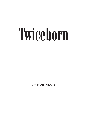# Twiceborn

JP ROBINSON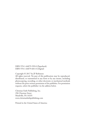ISBN 978-1-64079-599-0 (Paperback) ISBN 978-1-64079-601-0 (Digital)

Copyright © 2017 by JP Robinson

All rights reserved. No part of this publication may be reproduced, distributed, or transmitted in any form or by any means, including photocopying, recording, or other electronic or mechanical methods without the prior written permission of the publisher. For permission requests, solicit the publisher via the address below.

Christian Faith Publishing, Inc. 296 Chestnut Street Meadville, PA 16335 www.christianfaithpublishing.com

Printed in the United States of America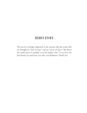### DEDICATION

This novel is lovingly dedicated to the woman who has stood with me through my "best of times" and my "worst of times." She shows the world that it is possible to be the perfect wife. To my love, my best friend, my soul-mate, my wife: Lois Robinson. Thank you.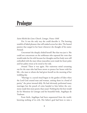## Prologue

*Saint-Michel-des-Lions Church, Limoges, France 1646*

*Fire.* It was the only way she could describe it. The burning tendrils of faded pleasure that still snaked across her skin. The heated passion that surged in her heart whenever she thought of his name: Arnaud.

*Concentrate!* she sharply chided herself. But that was just it. She could not concentrate on the nobleman who repeated the vows that would make her his wife because her thoughts and her body were still enthralled with the man whose masculine scent made her heart pulse and her palms sweat as he stood at her side.

*Arnaud.* There it was again. Her traitorous mind screaming out for the man who had been sworn to protect her honor with his life—the man to whom she had given herself on the morning of her wedding day.

"Marriage is a sacred ritual begun in the garden of Eden when the Lord God created man and woman, uniting them in a bond of purity," the priest intoned drily. He had obviously performed many marriages but the pouch of coins handed to him before the ceremony made him more poetic than usual. Nothing but the best would do for Monsieur de Limoges and his beautiful bride, Angélique de Toulouse.

From birth, Angélique had been sequestered from the world, knowing nothing of its evils. Her father's goal had been to raise a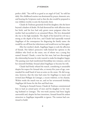perfect child. "You will be as good as an angel of God," he told her daily. Her childhood routine was dominated by prayer, domestic arts, and hearing the Scriptures read so that she also would be prepared to rear children worthy to join the heavenly choir.

Claude de Toulouse genuinely loved his daughter, this she knew beyond a shadow of doubt. He had showered her with affection since her birth, and his love had only grown more poignant when her mother had succumbed to an unnamed illness. His love demanded she rise to his high standards. The depth of his hatred for evil was a strong as the depth of his love, and Claude had repeatedly warned Angélique of the consequence for disgracing the family name: she would be cut off from her inheritance and would never see him again.

After her mother's death, Angélique began to seek the affection of friends. Her father's protective walls limited her options to the children who lived on the estate, one of whom was a young boy named Arnaud. Claude, a stern but fair man, had not discouraged the relationship because he truly wanted to make his daughter happy. The passing years had transformed friendship into romance, and on her sixteenth birthday Arnaud asked Angélique to become his wife.

Claude had firmly refused the match, considering it unsuitable despite his respect for Arnaud who, at twenty-five years of age, commanded his small band of men-at-arms on the estate. He did recognize, however, that the time had come for Angélique to marry and invited Jean-Philippe de Limoges, a recent widower, to his chateâu. Within weeks the match was set, and on her seventeenth birthday, Angélique left home for the first and final time.

Trusting in Arnaud's honor, Claude de Toulouse commissioned him to lead an armed party of men and his daughter to her waiting husband in Limoges. The two-week journey had been largely uneventful and, despite his best intentions, Arnaud found his ardent attraction to Angélique impossible to ignore. The tension had continued to build.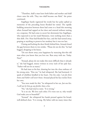"Therefore, shall a man leave both father and mother and shall cleave unto his wife. They two shall become one flesh," the priest continued.

Angélique barely registered his words but her pulse spiked as memories of the preceding hours flooded her mind. The rapidly building attraction between them had come to a head this morning when Arnaud had rapped on her door and entered without waiting on a response. He had come to escort her downstairs but Angélique, who expected to see her maid Marianne, wore nothing more than a thin shift. *Fire.* Heat had flooded her face, and she had turned away, groping at anything to preserve her modesty but it was too late.

Closing and locking the door firmly behind him, Arnaud closed the gap between them in two strides. "Please do not do this," he had begged, dropping to his knees.

"Do not throw away your happiness by marrying this-this old man when you know that you love me. Run away with me. Today. Now!"

"Arnaud, please do not make this more difficult than it already is," she had begged, misery written in every inch of her pale face. "Father will not let us marry."

He had risen to his feet, drawing her into the close embrace of his strong arms. "Kiss me," he had whispered. She had hesitated. A spark of rebellion kindled in her heart. *One kiss only. I am far from home and Father will never know.* Arnaud placed his face inches from her own.

"You were made for this," he whispered in her ear. *Just one kiss. I will not let him go any farther than a kiss.*

"No," she had tried to resist. "It is wrong."

"It is no sin. We love each other. If it were not so, why would God make you so beautiful?"

"Arnaud," she whispered her hands pressed against his broad, well-defined chest. "It is wrong. My father told me many times that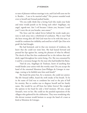to taste of pleasure without marriage is sin, and God will curse me for it. Besides… I am to be married today!" Her protest sounded weak even to herself and Arnaud pushed harder.

"Do you really think that a loving God who made your body and mine would punish us for loving each other? Angélique, my angel, *regarde-moi*. Am I evil because I desire you, because I need you? I crave the air you breathe, *mon amour*."

The force and the naked fervor behind his words made protests to melt away into a whirlwind of confusion. Was it true? Had she been wrong after all? Did God want her to be with this man, or would he condemn her infidelity and send her to hell? *Que Dieu m'en garde!* she had thought.

She had hesitated, and in that one moment of weakness, she knew that she could not resist him. She had leaned forward and pressed her lips against his, tasting the pleasure of what he offered. The shock of that first kiss condemned her to the inferno that suddenly raged throughout her entire being. *Fire.* She was consumed by it and by a ravenous hunger for the man who had kindled the flame.

"And do you, Angélique de Toulouse, know of anything that would hinder your union with this worthy man? Do you accept the hand of the esteemed Monsieur Jean-Philippe de Limoges in marriage, vowing to be faithful unto him until death?"

She heard the priest but, for a moment, she could not answer. She felt Arnaud stiffen, heard the swift intake of his breath. To lie in the name of God was to condemn her soul to the pits of hell for eternity. But to confess was to disgrace herself and her family name. She would be cut off from her father forever! She weighed the options in her head for only a brief moment. All eyes, except Arnaud's, were on her. She could see the puzzled expressions of the villagers who gathered for the celebration. They were wondering why this devout woman would hesitate to accept the hand of a man as kind as Monsieur de Limoges.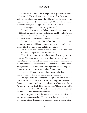Some subtle intuition caused Angélique to glance at her promised husband. His steady gaze lingered on her face for a moment and then passed over to Arnaud who still examined the cracks in the floor of Saint-Michel-des-Lions. *He suspects.* Her face flushed crimson with heat as Jean-Philippe opened his mouth to speak.

"Is there anything you wish to say, my dear?"

She could delay no longer. In her passion, she had eaten of the forbidden fruit; already her soul was being tortured by guilt. Perhaps the flames of hell were licking at the ground underneath her feet even now. Fires above and fire below—she was condemned.

She turned to the priest. "Yes. Before God, I swear that I have nothing to confess. I will honor him and be true to him until my last breath. This I vow before God and His holy saints."

"Then in the name of the Father and the Son and the Holy Ghost, I pronounce you both husband and wife."

There. It was done. *No.* Angélique immediately rejected the thought. *This is only beginning.* She had betrayed her husband and sworn falsely by God to hide the shame of her failure. The candles on the altar danced, and inside each one she imagined she saw a demon, an angel who like her had fallen from righteousness, writhing with delight at the torment she would endure from this moment on.

She groaned inwardly as she locked arms with her husband and turned to smile prettily toward the cheering onlookers.

"May you be fruitful. May your conception be multiplied and blessed of the Lord," the priest chanted, quoting from the book of Genesis as groom and bride exited the chapel. Angélique's eyes slid to Arnaud, whose gaze finally lifted to meet hers. What she saw in his eyes made her heart tremble. Arnaud, the man sworn to protect her life and honor, had done the unthinkable.

Like a serpent he had slid into the purity of her Eden and seduced his master's daughter. His eyes were those of a man haunted by personal failure. *Yes*, Angélique thought. *Fire rages uncontrollably*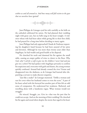*within us and all around us. And how many will fall victim to the pyre that we ourselves have ignited?* 



Jean-Philippe de Limoges eyed his wife carefully as the bells on the cathedral celebrated his union. He had planned their wedding night with great care, but no bells rang in his heart tonight. A widower whose wife had been taken while giving life to their first child, he had prayed for a long time before deciding to marry again.

Jean-Philippe had only approached Claude de Toulouse requesting his daughter's hand because he had been assured of her piety and devotion. Although he was more than twenty years older than Angélique, he had wealth and good health at his disposal.

He clenched his teeth and slammed his fist against the small table, causing an empty goblet of wine to clatter to the floor. *Why, God, why? I ask for a wife to give me the children I never had and you give me a whore?* He had spoken with Angélique privately to confirm his suspicions and, overcome with guilt and shame, the young woman quickly confessed. Arnaud had already crossed the river Vienne and disappeared into the darkness, as de Limoges had learned after dispatching a servant to make discreet enquiries.

"Just like a snake!" de Limoges muttered. "Defile a woman and run for cover when her husband comes to even the score." A part of his heart ached with the betrayal but another part of him felt an odd sense of compassion. He understood her weakness. Sheltered, and travelling alone with a handsome rogue. What woman would not struggle?

He winced. Struggle, yes. Give in—that was the part that he could not accept. And on the morning of their wedding? He clenched his fist again and stood silent despite the storm that raged in his heart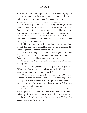as he weighed his options. A public accusation would bring disgrace upon his wife and himself that would last the rest of their days. Any child born in the near future would live under the shadow of an illegitimate birth—a fate that he would not wish upon anyone.

*And what of my duty to God?* Above all things, de Limoges sought to live as an example of Christian charity. While he did not excuse Angélique for her sin, he knew that to accuse her publicly would be to condemn her to poverty at best and death at the worst. He still felt partially responsible for the death of his first wife and child. To have the weight of another loss upon his shoulders, particularly one so young, would be too much.

De Limoges glanced toward the bedchamber where Angélique lay still, her face pale and shoulders heaving with silent sobs. He sighed deeply as he slowly walked toward her.

"I will not ask why it happened or threaten you with public disgrace," he said. Her shoulders stopped quivering at the words and Angélique looked up at him, eyes wide with wonder.

He continued. "If there is a child from your union, I will raise it as my own."

The tears started again but this time they were tears of gratitude. "What kind of man are you?" Angélique breathed. "Why would you show me such kindness? I do not deserve it."

"That is true." De Limoges did not hesitate to agree. He was no saint and his own heart was still bleeding. "But there are higher laws, higher graces to which God expects us to aspire even when we do not see the meaning of the circumstances that confront us. Perhaps it is my purpose to teach this to you."

Angélique sat up and tentatively touched her husband's cheek, expecting him to flinch and draw back with revulsion. He stayed still—so perfectly still for a moment she wondered if he was carved out of marble. *But this is no man of stone*, she thought. *His heart feels and he understands. He forgives me!*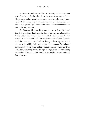Gratitude washed over her like a wave, sweeping her away in its path. "Husband." She breathed, her voice hoarse from sudden desire. De Limoges looked up at her, detecting the change in tone. "I need to be clean. I need you to make me *your* wife." She touched him again, laying a small pale hand on his chest. "Please take me as I am and make me your own."

De Limoges felt something wet on the back of his hand. Startled, he realized that it was the flow of his own tears. Something broke within him and, at that moment, he realized that he also needed to make her his wife. His needs were not physical but spiritual: he understood that God had brought them together and it was his responsibility to let no man put them asunder. An ember of forgiving love began to expand in warm glowing rays across his chest. He gently, hesitantly pressed his lips to Angélique's and she eagerly responded. Without another word, he reached for his wife and took her in his arms.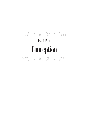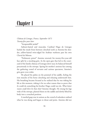## Chapter 1

*Château de Limoges, France, September 1671 Twenty-five years later*

"Irresponsible jackal!"

Auburn-haired and muscular, Cardinal Hugo de Limoges hurled the insult from between clenched teeth as Antoine-his slender, yellow-haired twin-edged his Arabian warhorse past his own Cheval de Mérens.

"Prehistoric priest!" Antoine retorted, his twenty-five-year-old face split by a mocking grin. As the open gate that led to the courtyard of the family château of Limoges drew near, he balanced himself precariously in the stirrups. Spying his mother's anxious face among the gathering crowd of servants and curious spectators, Antoine's grin grew even wider.

He placed his palms on the pommel of his saddle, feeling the iron muscles of his horse clenching and releasing underneath him. His breathing became focused as he realized that he was risking his life at this moment, risking it for no other reason than to prove that *he* could do something his brother Hugo could not do. *What better reason could there be than that?* Antoine thought. He swung his legs wide of the stirrups, planted them on the saddle and slowly lifted his body into a crouched position.

A startled gasp rose in unison as the crowd of onlookers realized what he was doing and began to shout and point. Antoine did not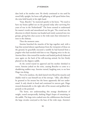dare look at his mother now. He slowly continued to rise until he stood fully upright, his horse still galloping at full speed below him, the reins held loosely in his right hand.

"Easy, *Bouclier*," he muttered quietly to his horse. "No need to have my brains spilled out on the ground today after surviving five years of war in the Netherlands!" The horse seemed to understand his master's words and smoothened out his gait. The crowd saw the direction in which Antoine was headed and wisely scattered into two groups, giving him clear access to the wide stairs that welcomed visitors to the château.

Then the moment came.

Antoine bunched the muscles of his legs together and, with a leap that seemed almost superhuman from the viewpoint of those on the ground, he gracefully executed a tumble he had learned from a *jongleur* who had traveled with him to war. Flipping twice in the air, Antoine blew a kiss toward his mother and landed perfectly balanced once again on the back of his still-moving animal, his feet firmly planted on the slippery saddle.

As the crowd roared its approval and his mother shrieked in terror, Antoine jerked on the reins, causing Bouclier to come to a shuddering sudden stop. Antoine turned, laughing now, to see how Hugo was doing.

Not to be outdone, the dark-haired twin flexed his muscles and shakily tried to ease himself out of the stirrups. "*Allez, allez Bleuet*," he grunted to his mount but the horse apparently did not understand. It only shook its head and continued its uneven gait. Hugo swayed dramatically to the right side of his mount and grabbed desperately at the pommel.

The horse, not understanding this strange distribution of weight, reared unexpectedly, dashing Hugo's hopes of remaining in the saddle. The large twin crashed onto the cobblestones that formed the large circular courtyard at the base of the wide steps. Antoine's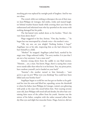mocking grin was replaced by outright peals of laughter. And he was not alone.

The crowd, while not wishing to disrespect the son of their master Jean-Philippe de Limoges, hid smiles, winks and muted laughter behind weather-beaten hands while averting their eyes from the embarrassed and infuriated man who lay sprawled on the stones with nothing damaged but his pride.

The fair-haired twin smiled down at his brother. "How's the view from down there?"

Hugo staggered to his feet, furious. "One day, brother… " he began but was interrupted by a female voice—his mother's voice.

"Oh, my son, are you alright? Nothing broken, I hope!" Angélique was at his side, inspecting him as she had whenever he hurt himself as a child.

"Mother!" he snapped. Angélique jerked back, startled by his angry tone. Hugo softened visibly. "I'm sorry mother. It is just that I am not a boy anymore. I am a man now!"

Antoine swung down from the saddle in one fluid motion. "Hmmm… yes, a man. You know, Hugo, there's a saying that a man never stands taller than when he is on his knees. You, my pious priest, have outdone yourself: you've landed on your back!"

"Antoine"—his mother turned to him furiously— "*mais qu'est-ce qui t'as pris?* What were you thinking? You could have been killed and your brother hurt!"

Angélique began to scold her son but got no further as he gathered her into his arms and lifted her, squealing, across the threshold to where his father, Jean-Philippe de Limoges, waited, eyes glittering with pride at the man who stood before him. Now nearing seventy years old, Jean-Philippe still stood tall and slender, his silver hair containing faint traces of the yellow from his youth. Antoine was the mirror of his father, complete with the rather unusual yellow hair, sky-blue eyes and slight but muscular frame. Hugo, however, did not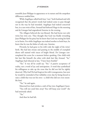resemble Jean-Philippe in appearance or in nature and the unspoken differences rankled him.

While Angélique called both boys "son," both husband and wife recognized that the priest's words had indeed come to pass though not in the way he had intended. Angélique had indeed conceived but, in a rare twist of fate, Arnaud had fathered Hugo in the morning and de Limoges had engendered Antoine in the evening.

The villagers believed she was blessed. She had borne not only twins but twin *sons*. They thought that God was finally rewarding Jean-Philippe for his piety but he knew that God was testing his faith to its limits. For while Angélique was indeed mother to both boys, he knew that he was the father of only one: Antoine.

Privately, he had gone to his wife's side the night of the twins' birth. She had lain sweaty and panting in the middle of crumpled sheets still stained with traces of bright blood. De Limoges contemplated the scene for a moment before speaking. One child with fair hair like himself, the other with dark hair like Arnaud. "So," Angélique had wheezed at last, "I have been fruitful."

"Yes." It was all he could say. "Yes." A passive acceptance of reality, not a word of joy and anticipation. A word that symbolized his willingness to take up the cross that he did not feel he rightly deserved. *Why God?* He had forgiven his wife's transgression, but now he would be reminded of her infidelity every day by being forced to raise a child that was not his own—a child who did not even resemble him!

"Yes," he said again.

Maternal love had stricken a stab of fear into Angélique's heart.

"You will not send him away? You will keep your word?" she had anxiously asked.

"Yes."

And then he had left.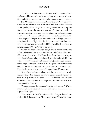The effort it had taken to say that one word of committal had nearly sapped his strength, but it was nothing when compared to the effort and self-control that it took to raise a son that was not *his* son.

Jean-Philippe reminded himself daily that the boy was not to blame for the circumstances of his birth and that he should focus on his good qualities. Hugo had a strong interest in taking up the cloth, in part because he wanted to gain Jean-Philippe's approval. His interest in religion was greater than Antoine's, but to Jean-Philippe, it seemed that the boy was interested in knowing *about* God but not in *knowing God*. Religion was a source of power to Hugo, an exhilarating force that could give him the ability to control his fellow man, not a living experience as far as Jean-Philippe could tell. *And that*, he thought, *makes all the difference in the world.* 

As Antoine stood before him now, however, he felt that he was indeed truly blessed. At twenty-five, his son had distinguished himself in the king's service and had been deemed worthy of receiving the rank of *capitaine*. As a boy, Antoine's slight build had made him the victim of Hugo's merciless bullying. At first, Jean-Philippe had spoken to Hugo and urged him not to use his greater size to intimidate Antoine, but he soon noticed that the continued altercations with Hugo hardened Antoine and made him push himself to succeed.

When Antoine began military training as a cadet, he easily surpassed the other students in athletic ability, mental capacity to grasp military concepts and good looks. The former, Jean-Philippe attributed to the boy's desire to compete with his brother; the latter he attributed to himself.

"*Entrez vous deux!*" he boomed. "*Antoine, embrasse-moi!*" Within a moment, he held his son in his arms and then at arm's length as he inspected him again.

"How are you, Father?" Antoine could barely speak beneath the crush of his father's embrace. "I am old, my son!" his father cheer-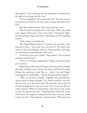fully replied. "I am an old man who has developed a weak heart but the sight of you brings new life to me."

"You see, Angélique?" He turned to his wife. "Five years away at war and our son returns to us with a hero's courage and with a hero's face!"

His wife smiled demurely. "You mean a face like yours?"

"But of course!" he replied with a wide smile. "Where else could such rugged handsomeness have come from?" During this lighthearted exchange Hugo stood silent, still fuming over his humbling entrance.

"Hello, Father," he finally said.

"Ah! Hugo! Welcome home. It is good to see you after—how long has it been— three years since you left us?" No matter how much he tried, Jean-Philippe could not bring himself to call Hugo *son*. He shook his hand firmly but with reserve.

"It has been seven years, Father," Hugo replied. "Four in Rome and three with the king."

"Ah yes." De Limoges stepped back. "Forgive an old man for his poor memory."

Before Hugo could respond Georges, the head steward, coughed discreetly. "*Pardonnez-moi, monsieur*, but dinner will shortly be ready. Perhaps the gentlemen would like to… ahem"—he eyed Hugo's stained garments disdainfully—"refresh themselves before dining?"

"Why, yes, of course, Georges," Angélique said, gracefully laying her hand on Hugo's shoulder. "Go, refresh yourselves, my sons, and then join us in the *salle à dîner*. We anxiously wait to hear all of that has happened in your years away. Your letters were like our cook's creations. While we enjoyed them, each one has only served to whet our appetite for more." Dismissing them both with a wave of her hand, she caught her husband by the sleeve as he too turned to leave the foyer. "My husband, a moment please." When her sons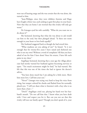were out of hearing range and she was certain that she was alone, she turned to him.

"Jean-Philippe, since they were children Antoine and Hugo have fought a bitter war, each seeking to gain first place in your heart. Now that they are home I am worried that this rivalry will only get worse."

De Limoges eyed his wife carefully. "What do you want me to do about it?"

She hesitated, knowing that what she was about to ask would cut him to the soul, but then plunged ahead. "Is there not room enough in your heart to love both equally?"

Her husband staggered back as though she had struck him.

"What madness are you asking of me?" he hissed. "Is it not enough that for twenty-five years I have raised and sheltered one who is not my own? Without a word of complaint? All that you have asked of me for him I have done! Since his return, I have felt such pains in my chest."

Angélique hesitated, knowing that a year ago the village physician had sternly warned her husband against becoming nervous or upset. "Too much excitement might be fatal," he had warned. She felt that this was one of the times she had to ignore the doctor's advice.

"You have done much but I am asking for a little more. Show him more love. Call him your son."

"Never!" Limoges was trying very hard to keep his voice from rising, but temper colored his cheeks and flashed from his normally placid eyes. "I will not share what is Antoine's with a boy who is no more than a bast—"

"Don't!" Angélique cried out, placing her hand over her husband's mouth. "Do not call him that. I know what you have dealt with. I love and respect you for it. But can you not see that this rivalry will tear our family apart? Though you don't speak of it, your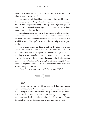favoritism is only too plain to those who have eyes to see. It has already begun to destroy us!"

De Limoges had ripped her hand away and turned his back to her while she was speaking. When he faced her again, his expression was flat and his eyes were coldly accusing. "*Non*, Angélique, you are wrong. It is not *I* who have destroyed us." He swept past her without another word and stormed to stairs.

Angélique covered her face with her hands. In all her marriage, she had never heard Jean-Philippe speak so harshly. The fact that she knew his words were true hurt her more than any physical blow ever could have done. Twenty-five years later she was still paying the price for her sin.

She swayed briefly, catching herself on the edge of a nearby divan. Two identical pillars surrounded the chair at her side. A humorless smile twisted her lips at the irony of the image. A woman standing between two pillars. A mother caught between her two sons with conflicting loyalties to both of them and to her husband. *Je ne suis pas assez forte! I'm not strong enough for this*, she thought. A dull ache had begun to hammer at the back of her skull, and now its heat spread throughout her head.

"May God have mercy on us all," she moaned. "*Why?*"



"*Why!*"

Hugo's face was purple with rage as he dashed the ornately carved candelabra to the lush carpet. He spit out a curse as he hurriedly stamped out the small flames. He glanced around quickly to make sure that no servants were within hearing range. Hugo had purchased a cardinalship and was endorsed by King Louis of France himself. It would not do for anyone to hear him utter profanity.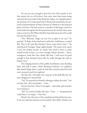No one was near enough to hear the cries of his mouth or, for that matter, the cry of his heart. Four years away from home being trained in the strict order of the *Basilianus Italiae, seu Cryptoferratensis*, the Institute of a Consecrated Life in Rome had earned him the personal recommendation of Pope Clement as confessor to the king and queen of France. He had served as a member of the king's council as Louis made war against the Protestant heretics for another three years only to return to this! What did all he had achieved matter if he could not earn his father's love?

"Not 'Welcome, Hugo my son! I'm so glad to see you,'" he growled. "A shake of the hand and a smile that could freeze a cooked fish. That is all I get! But Antoine! 'You've come back a hero.'" He mimicked de Limoges. Hugo sighed deeply. "No matter how much I serve the mother church, no matter how much I strive to make myself worthy of him, it is never enough. Always Antoine… brave, courageous, looks like him, thinks like him. I will never be good enough to lick Antoine's boots after he walks through the mud in Father's eyes."

The stinging memory of his public humiliation came flooding back, and with it came a dark, shocking revelation—an epiphany that started Hugo down a path he had often sensed existed but had never accepted much less explored.

*You hate him.* The dark voice rang out in his skull like the solemn clanging of a funeral bell.

"No!" he muttered to himself, refusing to admit the truth. "I do not hate him. He's my brother… I just… "

*You just hate him.* There it was again—cold, dark, and merciless in its insistence.

"No!" he cried out louder this time. "I just… "—he paused and could deny it no longer—"hate him."

Hatred. Yes, that was it. Pure unadulterated hatred for his twin. It was not only that Antoine was favored by their father. Neither was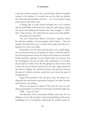it just that Antoine seemed to be a natural leader while he stumbled around in the shadows. It certainly was not the silly race debacle that still caused his backside to feel sore… no. It was Antoine's smug surety that he had Father's love.

A feeling akin to relief coursed through him as he vocalized what he had hidden in his heart for so long. He said it again, tasting the words and relishing the freedom that they brought. "I. Hate. Him. I *hate* Antoine." He realized that he meant every dark syllable.

#### *You always have hated him.*

"Yes, yes! I always have! Before he became a *capitaine*, before his ridiculous display of horsemanship, before Skyla—" Here he stopped. He had sworn never to think of her again. But that was a big part of it, was it not? *Skyla.* 

He had first seen her when the king had a sent a small delegation to the enemy fortress of Charleroi in order to verify the well-being of French prisoners of war. For Hugo's part he had not cared if his brother had been captured. *Let the arrogant idiot rot in prison*—but the investigation was part of early treaty negotiations. It was then that he had seen Skyla. From the first glimpse he knew that he *had* to have her, but the heretic had eyes for one man. Hugo sneered at the mirror in disgust. For Antoine! Antoine, who had never known the pain of a father's rejection would also never know the pain of unrequited love.

Hugo forced himself to face the facts at last. He hated everything that his twin brother represented: his grace, his looks, his past, and his future. Everything.

*What are you going to do about it?* This time the voice was soft, almost purring like a cat whose fur was being scratched the right way.

"Well… what can I do?"

The absurdity of the conversation finally struck him. He was talking to no one. He was alone in the looming darkness of his room. Stumbling over to the fireplace underneath the marble mantle, he